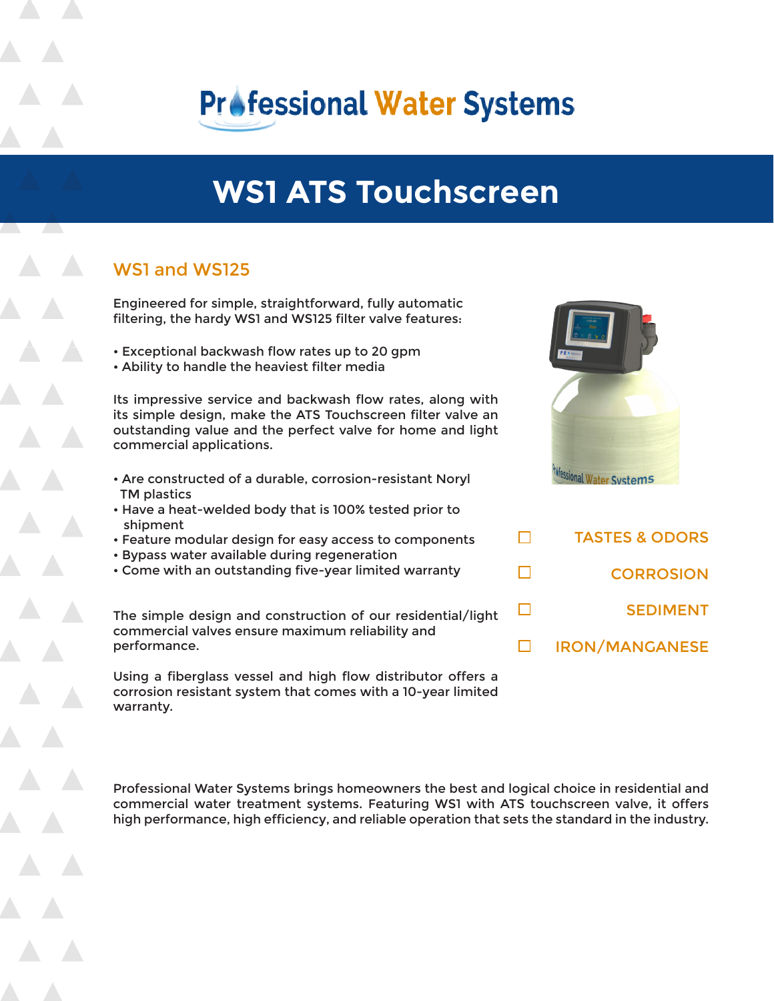

# **WS1 ATS Touchscreen**

# WS1 and WS125

Engineered for simple, straightforward, fully automatic filtering, the hardy WS1 and WS125 filter valve features:

- Exceptional backwash flow rates up to 20 gpm
- Ability to handle the heaviest filter media

Its impressive service and backwash flow rates, along with its simple design, make the ATS Touchscreen filter valve an outstanding value and the perfect valve for home and light commercial applications.

- Are constructed of a durable, corrosion-resistant Noryl TM plastics
- Have a heat-welded body that is 100% tested prior to shipment
- Feature modular design for easy access to components
- Bypass water available during regeneration
- Come with an outstanding five-year limited warranty

The simple design and construction of our residential/light commercial valves ensure maximum reliability and performance.

Using a fiberglass vessel and high flow distributor offers a corrosion resistant system that comes with a 10-year limited warranty.



| <b>TASTES &amp; ODORS</b> |
|---------------------------|
| <b>CORROSION</b>          |
| <b>SEDIMENT</b>           |
| <b>IRON/MANGANESE</b>     |

П

П

 $\Box$ 

 $\Box$ 

Professional Water Systems brings homeowners the best and logical choice in residential and commercial water treatment systems. Featuring WS1 with ATS touchscreen valve, it offers high performance, high efficiency, and reliable operation that sets the standard in the industry.